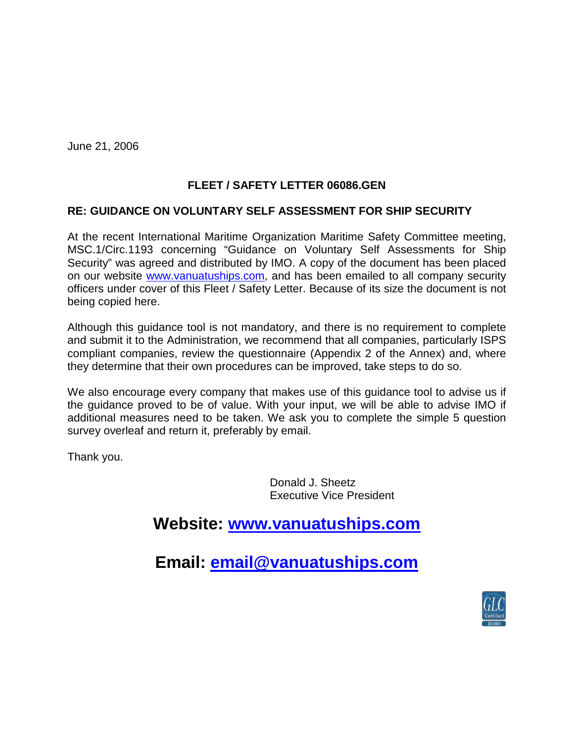June 21, 2006

## **FLEET / SAFETY LETTER 06086.GEN**

## **RE: GUIDANCE ON VOLUNTARY SELF ASSESSMENT FOR SHIP SECURITY**

At the recent International Maritime Organization Maritime Safety Committee meeting, MSC.1/Circ.1193 concerning "Guidance on Voluntary Self Assessments for Ship Security" was agreed and distributed by IMO. A copy of the document has been placed on our website [www.vanuatuships.com,](http://www.vanuatuships.com/) and has been emailed to all company security officers under cover of this Fleet / Safety Letter. Because of its size the document is not being copied here.

Although this guidance tool is not mandatory, and there is no requirement to complete and submit it to the Administration, we recommend that all companies, particularly ISPS compliant companies, review the questionnaire (Appendix 2 of the Annex) and, where they determine that their own procedures can be improved, take steps to do so.

We also encourage every company that makes use of this guidance tool to advise us if the guidance proved to be of value. With your input, we will be able to advise IMO if additional measures need to be taken. We ask you to complete the simple 5 question survey overleaf and return it, preferably by email.

Thank you.

Donald J. Sheetz Executive Vice President

## **Website: [www.vanuatuships.com](http://www.vanuatuships.com/)**

**Email: [email@vanuatuships.com](mailto:email@vanuatuships.com)**